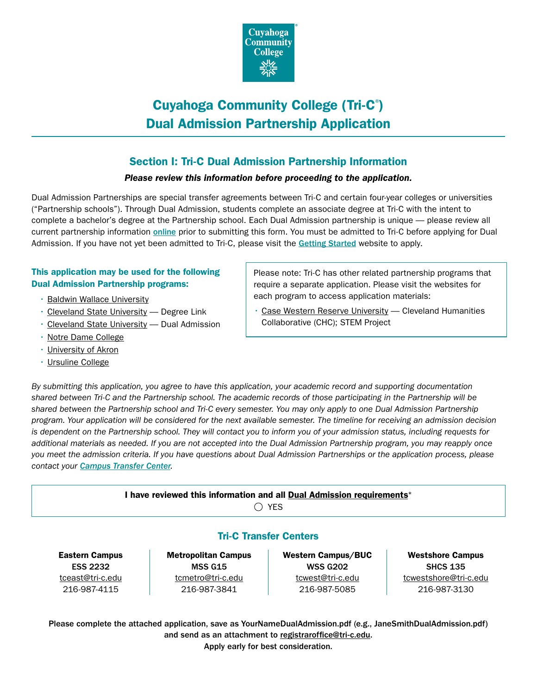

# Cuyahoga Community College (Tri-C® ) Dual Admission Partnership Application

## Section I: Tri-C Dual Admission Partnership Information

### *Please review this information before proceeding to the application.*

Dual Admission Partnerships are special transfer agreements between Tri-C and certain four-year colleges or universities ("Partnership schools"). Through Dual Admission, students complete an associate degree at Tri-C with the intent to complete a bachelor's degree at the Partnership school. Each Dual Admission partnership is unique — please review all current partnership information [online](https://www.tri-c.edu/transfer/transfer-resources/dual-admission.html) prior to submitting this form. You must be admitted to Tri-C before applying for Dual Admission. If you have not yet been admitted to Tri-C, please visit the [Getting Started](https://www.tri-c.edu/get-started/index.html) website to apply.

### This application may be used for the following Dual Admission Partnership programs:

- [Baldwin Wallace University](https://www.tri-c.edu/transfer/university-partnerships/baldwin-wallace-university.html)
- [Cleveland State University](https://www.tri-c.edu/transfer/university-partnerships/degree-link.html)  Degree Link
- [Cleveland State University](https://www.tri-c.edu/transfer/university-partnerships/cleveland-state-university.html)  Dual Admission
- [Notre Dame College](https://www.tri-c.edu/transfer/university-partnerships/notre-dame-of-ohio.html)
- [University of Akron](https://www.tri-c.edu/transfer/university-partnerships/university-of-akron.html)
- [Ursuline College](https://www.tri-c.edu/transfer/university-partnerships/ursuline-college.html)

Please note: Tri-C has other related partnership programs that require a separate application. Please visit the websites for each program to access application materials:

• [Case Western Reserve University](https://www.tri-c.edu/transfer/university-partnerships/case-western-reserve-university.html) — Cleveland Humanities Collaborative (CHC); STEM Project

*By submitting this application, you agree to have this application, your academic record and supporting documentation shared between Tri-C and the Partnership school. The academic records of those participating in the Partnership will be shared between the Partnership school and Tri-C every semester. You may only apply to one Dual Admission Partnership program. Your application will be considered for the next available semester. The timeline for receiving an admission decision is dependent on the Partnership school. They will contact you to inform you of your admission status, including requests for additional materials as needed. If you are not accepted into the Dual Admission Partnership program, you may reapply once you meet the admission criteria. If you have questions about Dual Admission Partnerships or the application process, please contact your [Campus Transfer Center](https://www.tri-c.edu/transfer/campus-transfer-centers/index.html).*

> I have reviewed this information and all [Dual Admission requirements](https://www.tri-c.edu/transfer/transfer-resources/dual-admission.html)\*  $\bigcap$  YES

## Tri-C Transfer Centers

Eastern Campus ESS 2232 [tceast@tri-c.edu](mailto:tceast%40tri-c.edu?subject=) 216-987-4115

Metropolitan Campus MSS G15 [tcmetro@tri-c.edu](mailto:tcmetro%40tri-c.edu?subject=) 216-987-3841

Western Campus/BUC WSS G202 [tcwest@tri-c.edu](mailto:tcwest%40tri-c.edu?subject=) 216-987-5085

Westshore Campus SHCS 135 [tcwestshore@tri-c.edu](mailto:tcwestshore%40tri-c.edu?subject=) 216-987-3130

Please complete the attached application, save as YourNameDualAdmission.pdf (e.g., JaneSmithDualAdmission.pdf) and send as an attachment to [registraroffice@tri-c.edu](mailto:registraroffice%40tri-c.edu?subject=). Apply early for best consideration.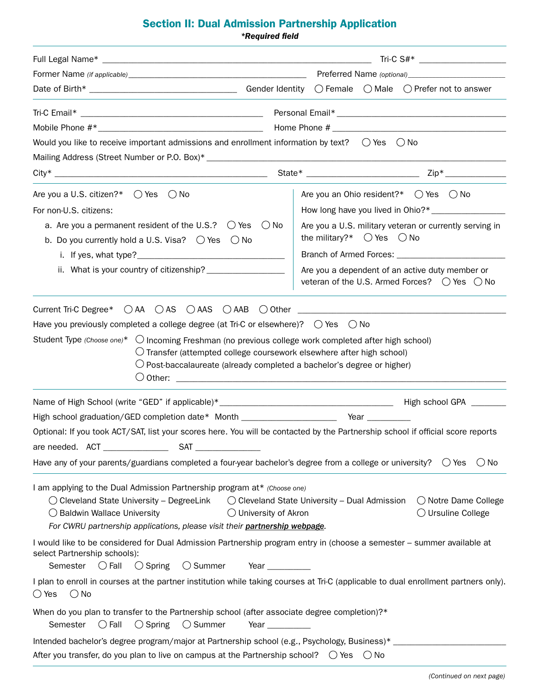## Section II: Dual Admission Partnership Application

|                                                                                                                                                                                                                                                                                                                                                                                                                                                                                                                                                 | $Tri-C S#*$                                                                                                   |
|-------------------------------------------------------------------------------------------------------------------------------------------------------------------------------------------------------------------------------------------------------------------------------------------------------------------------------------------------------------------------------------------------------------------------------------------------------------------------------------------------------------------------------------------------|---------------------------------------------------------------------------------------------------------------|
|                                                                                                                                                                                                                                                                                                                                                                                                                                                                                                                                                 |                                                                                                               |
|                                                                                                                                                                                                                                                                                                                                                                                                                                                                                                                                                 |                                                                                                               |
|                                                                                                                                                                                                                                                                                                                                                                                                                                                                                                                                                 |                                                                                                               |
|                                                                                                                                                                                                                                                                                                                                                                                                                                                                                                                                                 |                                                                                                               |
| Would you like to receive important admissions and enrollment information by text? $\bigcirc$ Yes $\bigcirc$ No                                                                                                                                                                                                                                                                                                                                                                                                                                 |                                                                                                               |
|                                                                                                                                                                                                                                                                                                                                                                                                                                                                                                                                                 |                                                                                                               |
|                                                                                                                                                                                                                                                                                                                                                                                                                                                                                                                                                 |                                                                                                               |
| Are you a U.S. citizen?* $\bigcirc$ Yes<br>() No                                                                                                                                                                                                                                                                                                                                                                                                                                                                                                | Are you an Ohio resident?* $\bigcirc$ Yes $\bigcirc$ No                                                       |
| For non-U.S. citizens:                                                                                                                                                                                                                                                                                                                                                                                                                                                                                                                          |                                                                                                               |
| a. Are you a permanent resident of the U.S.? $\bigcirc$ Yes $\bigcirc$ No<br>b. Do you currently hold a U.S. Visa? $\bigcirc$ Yes $\bigcirc$ No                                                                                                                                                                                                                                                                                                                                                                                                 | Are you a U.S. military veteran or currently serving in<br>the military?* $\bigcirc$ Yes $\bigcirc$ No        |
|                                                                                                                                                                                                                                                                                                                                                                                                                                                                                                                                                 |                                                                                                               |
|                                                                                                                                                                                                                                                                                                                                                                                                                                                                                                                                                 | Are you a dependent of an active duty member or<br>veteran of the U.S. Armed Forces? ○ Yes ○ No               |
| Student Type (Choose one)* $\bigcirc$ Incoming Freshman (no previous college work completed after high school)<br>$\bigcirc$ Transfer (attempted college coursework elsewhere after high school)<br>$\bigcirc$ Post-baccalaureate (already completed a bachelor's degree or higher)                                                                                                                                                                                                                                                             |                                                                                                               |
|                                                                                                                                                                                                                                                                                                                                                                                                                                                                                                                                                 |                                                                                                               |
| High school graduation/GED completion date* Month _______________________________ Year _____________                                                                                                                                                                                                                                                                                                                                                                                                                                            |                                                                                                               |
| Optional: If you took ACT/SAT, list your scores here. You will be contacted by the Partnership school if official score reports                                                                                                                                                                                                                                                                                                                                                                                                                 |                                                                                                               |
| SAT_<br>are needed. ACT _______________                                                                                                                                                                                                                                                                                                                                                                                                                                                                                                         |                                                                                                               |
| Have any of your parents/guardians completed a four-year bachelor's degree from a college or university? $\circ$ Yes                                                                                                                                                                                                                                                                                                                                                                                                                            | $()$ No                                                                                                       |
| I am applying to the Dual Admission Partnership program at* (Choose one)<br>$\bigcirc$ Cleveland State University – DegreeLink<br>$\bigcirc$ Baldwin Wallace University<br>$\bigcirc$ University of Akron<br>For CWRU partnership applications, please visit their partnership webpage.<br>I would like to be considered for Dual Admission Partnership program entry in (choose a semester - summer available at<br>select Partnership schools):<br>Semester $\bigcirc$ Fall<br>$\bigcirc$ Spring<br>$\bigcirc$ Summer<br>Year $\qquad \qquad$ | $\bigcirc$ Cleveland State University – Dual Admission<br>◯ Notre Dame College<br>$\bigcirc$ Ursuline College |
| I plan to enroll in courses at the partner institution while taking courses at Tri-C (applicable to dual enrollment partners only).<br>$\bigcirc$ Yes<br>$\bigcirc$ No                                                                                                                                                                                                                                                                                                                                                                          |                                                                                                               |
| When do you plan to transfer to the Partnership school (after associate degree completion)?*<br>$\bigcirc$ Fall<br>$\bigcirc$ Spring<br>$\bigcirc$ Summer<br>Semester<br>Year $\_\_$                                                                                                                                                                                                                                                                                                                                                            |                                                                                                               |
| Intended bachelor's degree program/major at Partnership school (e.g., Psychology, Business)* _____<br>After you transfer, do you plan to live on campus at the Partnership school? $\bigcirc$ Yes                                                                                                                                                                                                                                                                                                                                               | $\bigcirc$ No                                                                                                 |